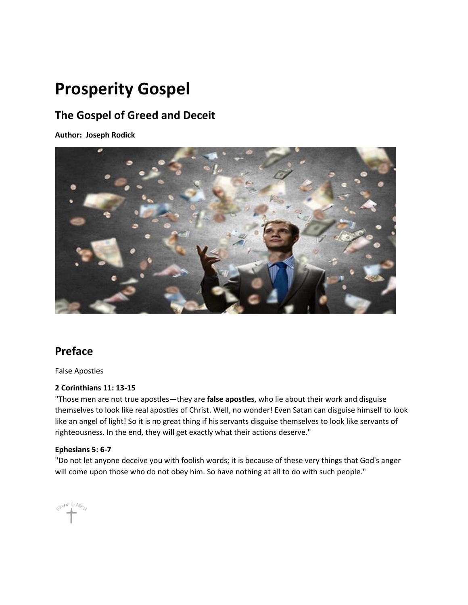# **Prosperity Gospel**

# **The Gospel of Greed and Deceit**

**Author: Joseph Rodick**



# **Preface**

False Apostles

# **2 Corinthians 11: 13-15**

"Those men are not true apostles—they are **false apostles**, who lie about their work and disguise themselves to look like real apostles of Christ. Well, no wonder! Even Satan can disguise himself to look like an angel of light! So it is no great thing if his servants disguise themselves to look like servants of righteousness. In the end, they will get exactly what their actions deserve."

# **Ephesians 5: 6-7**

"Do not let anyone deceive you with foolish words; it is because of these very things that God's anger will come upon those who do not obey him. So have nothing at all to do with such people."

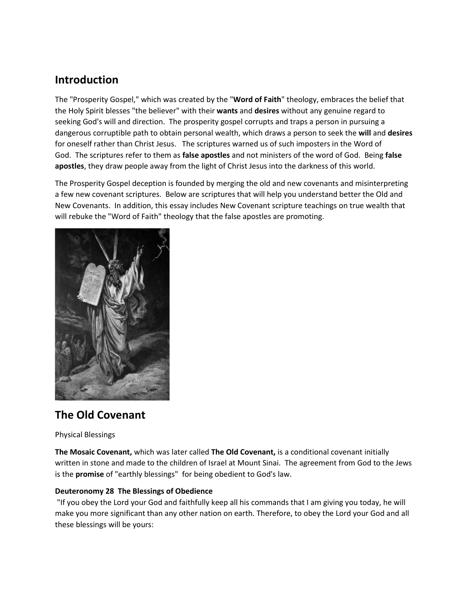# **Introduction**

The "Prosperity Gospel," which was created by the "**Word of Faith**" theology, embraces the belief that the Holy Spirit blesses "the believer" with their **wants** and **desires** without any genuine regard to seeking God's will and direction. The prosperity gospel corrupts and traps a person in pursuing a dangerous corruptible path to obtain personal wealth, which draws a person to seek the **will** and **desires** for oneself rather than Christ Jesus. The scriptures warned us of such imposters in the Word of God. The scriptures refer to them as **false apostles** and not ministers of the word of God. Being **false apostles**, they draw people away from the light of Christ Jesus into the darkness of this world.

The Prosperity Gospel deception is founded by merging the old and new covenants and misinterpreting a few new covenant scriptures. Below are scriptures that will help you understand better the Old and New Covenants. In addition, this essay includes New Covenant scripture teachings on true wealth that will rebuke the "Word of Faith" theology that the false apostles are promoting.



# **The Old Covenant**

# Physical Blessings

**The Mosaic Covenant,** which was later called **The Old Covenant,** is a conditional covenant initially written in stone and made to the children of Israel at Mount Sinai. The agreement from God to the Jews is the **promise** of "earthly blessings" for being obedient to God's law.

# **Deuteronomy 28 The Blessings of Obedience**

"If you obey the Lord your God and faithfully keep all his commands that I am giving you today, he will make you more significant than any other nation on earth. Therefore, to obey the Lord your God and all these blessings will be yours: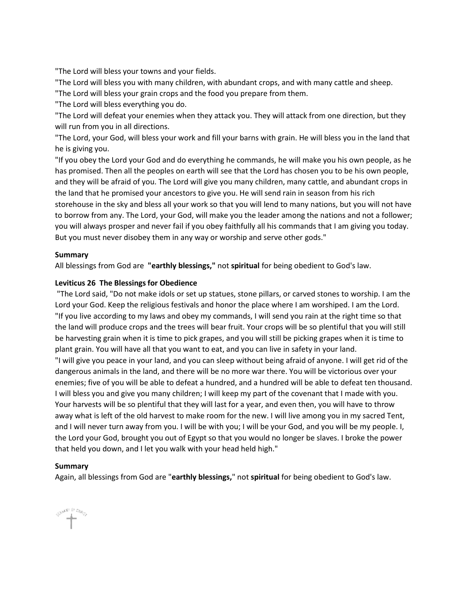"The Lord will bless your towns and your fields.

"The Lord will bless you with many children, with abundant crops, and with many cattle and sheep.

"The Lord will bless your grain crops and the food you prepare from them.

"The Lord will bless everything you do.

"The Lord will defeat your enemies when they attack you. They will attack from one direction, but they will run from you in all directions.

"The Lord, your God, will bless your work and fill your barns with grain. He will bless you in the land that he is giving you.

"If you obey the Lord your God and do everything he commands, he will make you his own people, as he has promised. Then all the peoples on earth will see that the Lord has chosen you to be his own people, and they will be afraid of you. The Lord will give you many children, many cattle, and abundant crops in the land that he promised your ancestors to give you. He will send rain in season from his rich storehouse in the sky and bless all your work so that you will lend to many nations, but you will not have to borrow from any. The Lord, your God, will make you the leader among the nations and not a follower; you will always prosper and never fail if you obey faithfully all his commands that I am giving you today. But you must never disobey them in any way or worship and serve other gods."

# **Summary**

All blessings from God are **"earthly blessings,"** not **spiritual** for being obedient to God's law.

# **Leviticus 26 The Blessings for Obedience**

"The Lord said, "Do not make idols or set up statues, stone pillars, or carved stones to worship. I am the Lord your God. Keep the religious festivals and honor the place where I am worshiped. I am the Lord. "If you live according to my laws and obey my commands, I will send you rain at the right time so that the land will produce crops and the trees will bear fruit. Your crops will be so plentiful that you will still be harvesting grain when it is time to pick grapes, and you will still be picking grapes when it is time to plant grain. You will have all that you want to eat, and you can live in safety in your land.

"I will give you peace in your land, and you can sleep without being afraid of anyone. I will get rid of the dangerous animals in the land, and there will be no more war there. You will be victorious over your enemies; five of you will be able to defeat a hundred, and a hundred will be able to defeat ten thousand. I will bless you and give you many children; I will keep my part of the covenant that I made with you. Your harvests will be so plentiful that they will last for a year, and even then, you will have to throw away what is left of the old harvest to make room for the new. I will live among you in my sacred Tent, and I will never turn away from you. I will be with you; I will be your God, and you will be my people. I, the Lord your God, brought you out of Egypt so that you would no longer be slaves. I broke the power that held you down, and I let you walk with your head held high."

# **Summary**

SHAN IN ONE

Again, all blessings from God are "**earthly blessings,**" not **spiritual** for being obedient to God's law.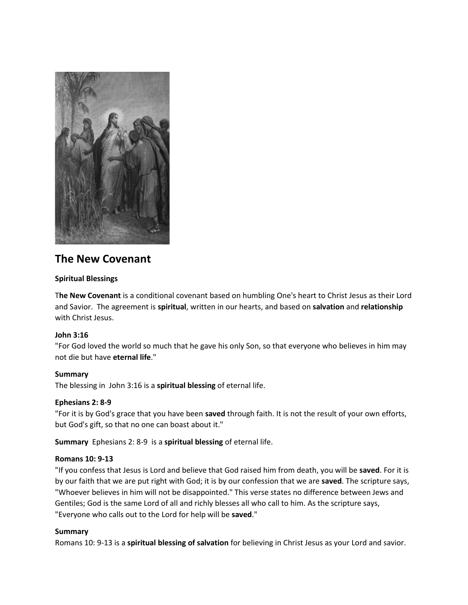

# **The New Covenant**

# **Spiritual Blessings**

T**he New Covenant** is a conditional covenant based on humbling One's heart to Christ Jesus as their Lord and Savior. The agreement is **spiritual**, written in our hearts, and based on **salvation** and **relationship** with Christ Jesus.

# **John 3:16**

"For God loved the world so much that he gave his only Son, so that everyone who believes in him may not die but have **eternal life**."

# **Summary**

The blessing in John 3:16 is a **spiritual blessing** of eternal life.

# **Ephesians 2: 8-9**

"For it is by God's grace that you have been **saved** through faith. It is not the result of your own efforts, but God's gift, so that no one can boast about it."

**Summary** Ephesians 2: 8-9 is a **spiritual blessing** of eternal life.

# **Romans 10: 9-13**

"If you confess that Jesus is Lord and believe that God raised him from death, you will be **saved**. For it is by our faith that we are put right with God; it is by our confession that we are **saved**. The scripture says, "Whoever believes in him will not be disappointed." This verse states no difference between Jews and Gentiles; God is the same Lord of all and richly blesses all who call to him. As the scripture says, "Everyone who calls out to the Lord for help will be **saved**."

# **Summary**

Romans 10: 9-13 is a **spiritual blessing of salvation** for believing in Christ Jesus as your Lord and savior.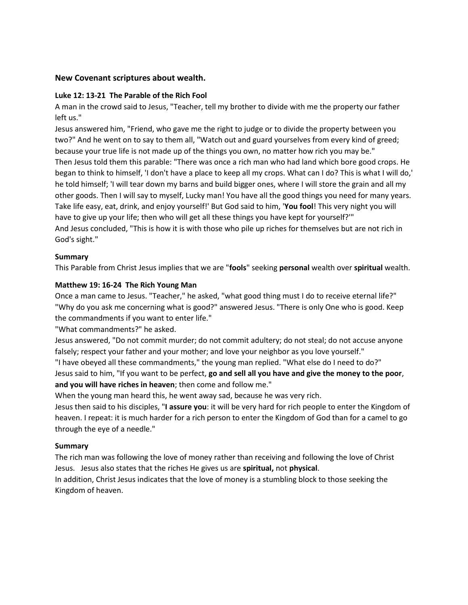# **New Covenant scriptures about wealth.**

# **Luke 12: 13-21 The Parable of the Rich Fool**

A man in the crowd said to Jesus, "Teacher, tell my brother to divide with me the property our father left us."

Jesus answered him, "Friend, who gave me the right to judge or to divide the property between you two?" And he went on to say to them all, "Watch out and guard yourselves from every kind of greed; because your true life is not made up of the things you own, no matter how rich you may be." Then Jesus told them this parable: "There was once a rich man who had land which bore good crops. He began to think to himself, 'I don't have a place to keep all my crops. What can I do? This is what I will do,' he told himself; 'I will tear down my barns and build bigger ones, where I will store the grain and all my other goods. Then I will say to myself, Lucky man! You have all the good things you need for many years. Take life easy, eat, drink, and enjoy yourself!' But God said to him, '**You fool**! This very night you will have to give up your life; then who will get all these things you have kept for yourself?'" And Jesus concluded, "This is how it is with those who pile up riches for themselves but are not rich in God's sight."

# **Summary**

This Parable from Christ Jesus implies that we are "**fools**" seeking **personal** wealth over **spiritual** wealth.

# **Matthew 19: 16-24 The Rich Young Man**

Once a man came to Jesus. "Teacher," he asked, "what good thing must I do to receive eternal life?" "Why do you ask me concerning what is good?" answered Jesus. "There is only One who is good. Keep the commandments if you want to enter life."

"What commandments?" he asked.

Jesus answered, "Do not commit murder; do not commit adultery; do not steal; do not accuse anyone falsely; respect your father and your mother; and love your neighbor as you love yourself."

"I have obeyed all these commandments," the young man replied. "What else do I need to do?" Jesus said to him, "If you want to be perfect, **go and sell all you have and give the money to the poor**, **and you will have riches in heaven**; then come and follow me."

When the young man heard this, he went away sad, because he was very rich.

Jesus then said to his disciples, "**I assure you**: it will be very hard for rich people to enter the Kingdom of heaven. I repeat: it is much harder for a rich person to enter the Kingdom of God than for a camel to go through the eye of a needle."

# **Summary**

The rich man was following the love of money rather than receiving and following the love of Christ Jesus. Jesus also states that the riches He gives us are **spiritual,** not **physical**.

In addition, Christ Jesus indicates that the love of money is a stumbling block to those seeking the Kingdom of heaven.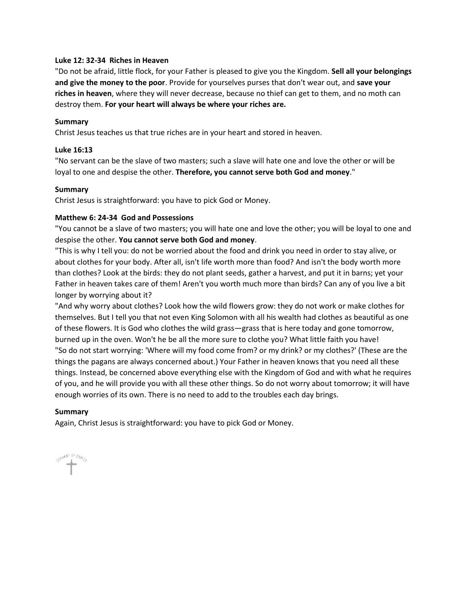#### **Luke 12: 32-34 Riches in Heaven**

"Do not be afraid, little flock, for your Father is pleased to give you the Kingdom. **Sell all your belongings and give the money to the poor**. Provide for yourselves purses that don't wear out, and **save your riches in heaven**, where they will never decrease, because no thief can get to them, and no moth can destroy them. **For your heart will always be where your riches are.**

#### **Summary**

Christ Jesus teaches us that true riches are in your heart and stored in heaven.

#### **Luke 16:13**

"No servant can be the slave of two masters; such a slave will hate one and love the other or will be loyal to one and despise the other. **Therefore, you cannot serve both God and money**."

#### **Summary**

Christ Jesus is straightforward: you have to pick God or Money.

#### **Matthew 6: 24-34 God and Possessions**

"You cannot be a slave of two masters; you will hate one and love the other; you will be loyal to one and despise the other. **You cannot serve both God and money**.

"This is why I tell you: do not be worried about the food and drink you need in order to stay alive, or about clothes for your body. After all, isn't life worth more than food? And isn't the body worth more than clothes? Look at the birds: they do not plant seeds, gather a harvest, and put it in barns; yet your Father in heaven takes care of them! Aren't you worth much more than birds? Can any of you live a bit longer by worrying about it?

"And why worry about clothes? Look how the wild flowers grow: they do not work or make clothes for themselves. But I tell you that not even King Solomon with all his wealth had clothes as beautiful as one of these flowers. It is God who clothes the wild grass—grass that is here today and gone tomorrow, burned up in the oven. Won't he be all the more sure to clothe you? What little faith you have! "So do not start worrying: 'Where will my food come from? or my drink? or my clothes?' (These are the things the pagans are always concerned about.) Your Father in heaven knows that you need all these things. Instead, be concerned above everything else with the Kingdom of God and with what he requires of you, and he will provide you with all these other things. So do not worry about tomorrow; it will have enough worries of its own. There is no need to add to the troubles each day brings.

#### **Summary**

Again, Christ Jesus is straightforward: you have to pick God or Money.

SHANT OF DRAG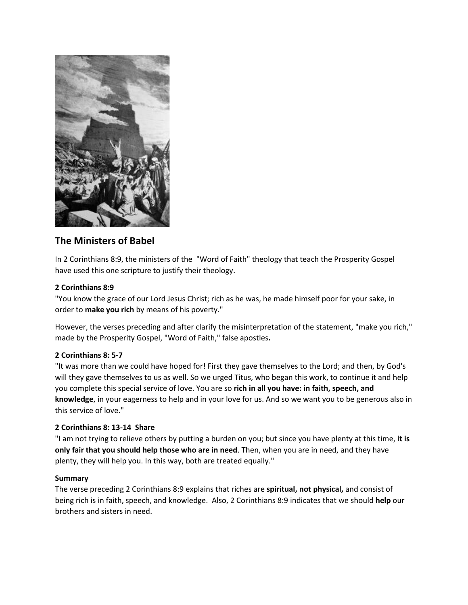

# **The Ministers of Babel**

In 2 Corinthians 8:9, the ministers of the "Word of Faith" theology that teach the Prosperity Gospel have used this one scripture to justify their theology.

# **2 Corinthians 8:9**

"You know the grace of our Lord Jesus Christ; rich as he was, he made himself poor for your sake, in order to **make you rich** by means of his poverty."

However, the verses preceding and after clarify the misinterpretation of the statement, "make you rich," made by the Prosperity Gospel, "Word of Faith," false apostles**.**

# **2 Corinthians 8: 5-7**

"It was more than we could have hoped for! First they gave themselves to the Lord; and then, by God's will they gave themselves to us as well. So we urged Titus, who began this work, to continue it and help you complete this special service of love. You are so **rich in all you have: in faith, speech, and knowledge**, in your eagerness to help and in your love for us. And so we want you to be generous also in this service of love."

# **2 Corinthians 8: 13-14 Share**

"I am not trying to relieve others by putting a burden on you; but since you have plenty at this time, **it is only fair that you should help those who are in need**. Then, when you are in need, and they have plenty, they will help you. In this way, both are treated equally."

# **Summary**

The verse preceding 2 Corinthians 8:9 explains that riches are **spiritual, not physical,** and consist of being rich is in faith, speech, and knowledge. Also, 2 Corinthians 8:9 indicates that we should **help** our brothers and sisters in need.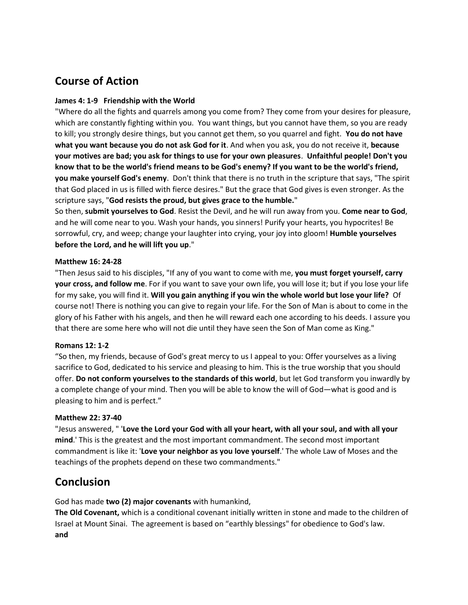# **Course of Action**

# **James 4: 1-9 Friendship with the World**

"Where do all the fights and quarrels among you come from? They come from your desires for pleasure, which are constantly fighting within you. You want things, but you cannot have them, so you are ready to kill; you strongly desire things, but you cannot get them, so you quarrel and fight. **You do not have what you want because you do not ask God for it**. And when you ask, you do not receive it, **because your motives are bad; you ask for things to use for your own pleasures**. **Unfaithful people! Don't you know that to be the world's friend means to be God's enemy? If you want to be the world's friend, you make yourself God's enemy**. Don't think that there is no truth in the scripture that says, "The spirit that God placed in us is filled with fierce desires." But the grace that God gives is even stronger. As the scripture says, "**God resists the proud, but gives grace to the humble.**"

So then, **submit yourselves to God**. Resist the Devil, and he will run away from you. **Come near to God**, and he will come near to you. Wash your hands, you sinners! Purify your hearts, you hypocrites! Be sorrowful, cry, and weep; change your laughter into crying, your joy into gloom! **Humble yourselves before the Lord, and he will lift you up**."

# **Matthew 16: 24-28**

"Then Jesus said to his disciples, "If any of you want to come with me, **you must forget yourself, carry your cross, and follow me**. For if you want to save your own life, you will lose it; but if you lose your life for my sake, you will find it. **Will you gain anything if you win the whole world but lose your life?** Of course not! There is nothing you can give to regain your life. For the Son of Man is about to come in the glory of his Father with his angels, and then he will reward each one according to his deeds. I assure you that there are some here who will not die until they have seen the Son of Man come as King."

# **Romans 12: 1-2**

"So then, my friends, because of God's great mercy to us I appeal to you: Offer yourselves as a living sacrifice to God, dedicated to his service and pleasing to him. This is the true worship that you should offer. **Do not conform yourselves to the standards of this world**, but let God transform you inwardly by a complete change of your mind. Then you will be able to know the will of God—what is good and is pleasing to him and is perfect."

# **Matthew 22: 37-40**

"Jesus answered, " '**Love the Lord your God with all your heart, with all your soul, and with all your mind**.' This is the greatest and the most important commandment. The second most important commandment is like it: '**Love your neighbor as you love yourself**.' The whole Law of Moses and the teachings of the prophets depend on these two commandments."

# **Conclusion**

God has made **two (2) major covenants** with humankind,

**The Old Covenant,** which is a conditional covenant initially written in stone and made to the children of Israel at Mount Sinai. The agreement is based on "earthly blessings" for obedience to God's law. **and**